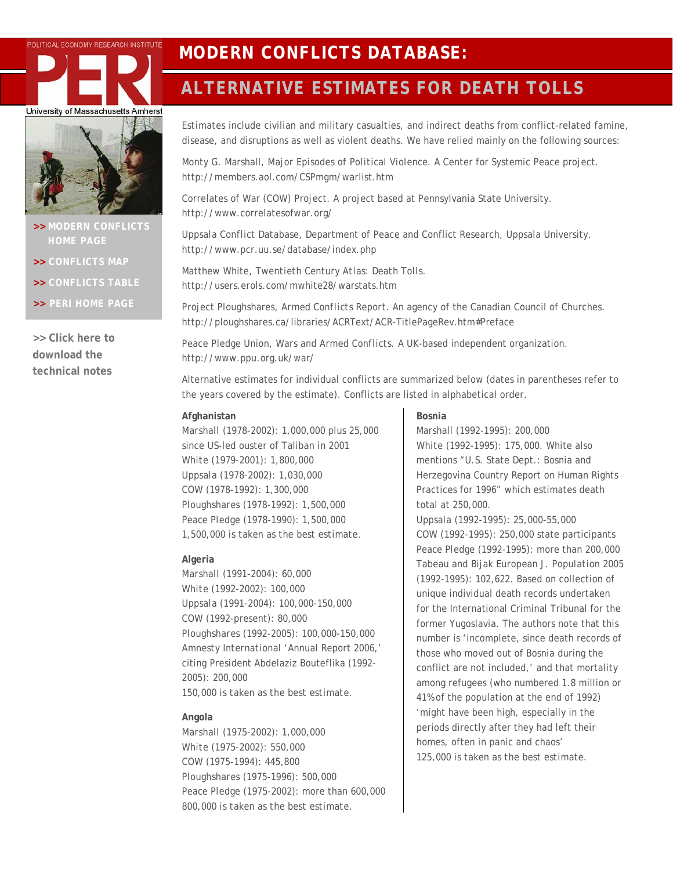

# 37

- **[HOME PAGE](http://www.peri.umass.edu/index.php?id=396)**
- **>> [CONFLICTS MAP](http://www.peri.umass.edu/fileadmin/html/hotspot.htm)**
- **>> [CONFLICTS TABLE](http://www.peri.umass.edu/Conflict-map.404.0.html)**
- **>> [PERI HOME PAGE](http://www.peri.umass.edu/)**

**>> [Click here to](http://www.peri.umass.edu/fileadmin/pdf/dpe/modern_conflicts/tech_notes.pdf)  [download the](http://www.peri.umass.edu/fileadmin/pdf/dpe/modern_conflicts/tech_notes.pdf)  [technical notes](http://www.peri.umass.edu/fileadmin/pdf/dpe/modern_conflicts/tech_notes.pdf)**

# POLITICAL ECONOMY RESEARCH INSTITUTE MODERN CONFLICTS DATABASE:

# **ALTERNATIVE ESTIMATES FOR DEATH TOLLS**

*Estimates* include civilian and military casualties, and indirect deaths from conflict-related famine, disease, and disruptions as well as violent deaths. We have relied mainly on the following sources:

Monty G. Marshall, *Major Episodes of Political Violence.* A Center for Systemic Peace project. <http://members.aol.com/CSPmgm/warlist.htm>

Correlates of War (COW) Project. A project based at Pennsylvania State University. <http://www.correlatesofwar.org/>

*Uppsala Conflict Database*, Department of Peace and Conflict Research, Uppsala University. <http://www.pcr.uu.se/database/index.php>

Matthew White, *Twentieth Century Atlas: Death Tolls*. <http://users.erols.com/mwhite28/warstats.htm>

Project Ploughshares, *Armed Conflicts Report.* An agency of the Canadian Council of Churches. <http://ploughshares.ca/libraries/ACRText/ACR-TitlePageRev.htm#Preface>

Peace Pledge Union, *Wars and Armed Conflicts*. A UK-based independent organization. <http://www.ppu.org.uk/war/>

Alternative estimates for individual conflicts are summarized below (dates in parentheses refer to the years covered by the estimate). Conflicts are listed in alphabetical order.

### **Afghanistan**

*Marshall* (1978-2002): 1,000,000 plus 25,000 since US-led ouster of Taliban in 2001 *White* (1979-2001): 1,800,000 *Uppsala* (1978-2002): 1,030,000 *COW* (1978-1992): 1,300,000 *Ploughshares* (1978-1992): 1,500,000 *Peace Pledge* (1978-1990): 1,500,000 *1,500,000 is taken as the best estimate.* 

#### **Algeria**

*Marshall* (1991-2004): 60,000 *White* (1992-2002): 100,000 *Uppsala* (1991-2004): 100,000-150,000 *COW* (1992-present): 80,000 *Ploughshares* (1992-2005): 100,000-150,000 *Amnesty International* 'Annual Report 2006,' citing President Abdelaziz Bouteflika (1992- 2005): 200,000 *150,000 is taken as the best estimate.* 

#### **Angola**

*Marshall* (1975-2002): 1,000,000 *White* (1975-2002): 550,000 *COW* (1975-1994): 445,800 *Ploughshares* (1975-1996): 500,000 *Peace Pledge* (1975-2002): more than 600,000 *800,000 is taken as the best estimate.* 

### **Bosnia**

Marshall (1992-1995): 200,000 *White* (1992-1995): 175,000. White also mentions "U.S. State Dept.: Bosnia and Herzegovina Country Report on Human Rights Practices for 1996" which estimates death total at 250,000.

*Uppsala* (1992-1995): 25,000-55,000 *COW* (1992-1995): 250,000 state participants *Peace Pledge* (1992-1995): more than 200,000 Tabeau and Bijak *European J. Population* 2005 (1992-1995): 102,622. Based on collection of unique individual death records undertaken for the International Criminal Tribunal for the former Yugoslavia. The authors note that this number is 'incomplete, since death records of those who moved out of Bosnia during the conflict are not included,' and that mortality among refugees (who numbered 1.8 million or 41% of the population at the end of 1992) 'might have been high, especially in the periods directly after they had left their homes, often in panic and chaos' *125,000 is taken as the best estimate.*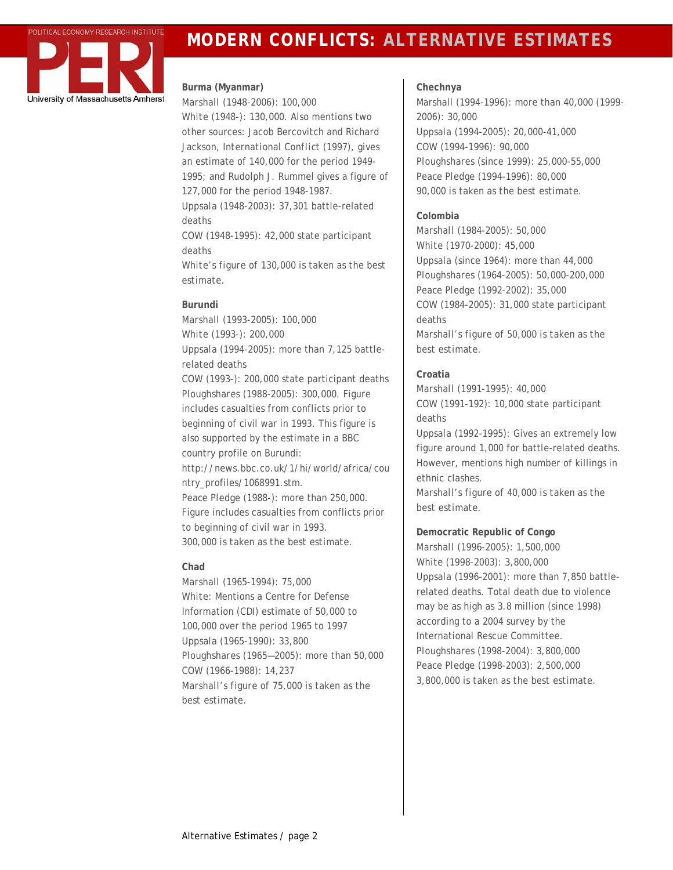

# **POLITICAL ECONOMY RESEARCH INSTITUTE** MODERN CONFLICTS: ALTERNATIVE ESTIMATES

# **Burma (Myanmar)**

*Marshall* (1948-2006): 100,000 *White* (1948-): 130,000. Also mentions two other sources: Jacob Bercovitch and Richard Jackson, *International Conflict* (1997), gives an estimate of 140,000 for the period 1949- 1995; and Rudolph J. Rummel gives a figure of 127,000 for the period 1948-1987.

*Uppsala* (1948-2003): 37,301 battle-related deaths

*COW* (1948-1995): 42,000 state participant deaths

*White's figure of 130,000 is taken as the best estimate.* 

# **Burundi**

*Marshall* (1993-2005): 100,000 *White* (1993-): 200,000 *Uppsala* (1994-2005): more than 7,125 battlerelated deaths *COW* (1993-): 200,000 state participant deaths *Ploughshares* (1988-2005): 300,000. Figure includes casualties from conflicts prior to beginning of civil war in 1993. This figure is also supported by the estimate in a BBC country profile on Burundi: [http://news.bbc.co.uk/1/hi/world/africa/cou](http://news.bbc.co.uk/1/hi/world/africa/country_profiles/1068991.stm) [ntry\\_profiles/1068991.stm.](http://news.bbc.co.uk/1/hi/world/africa/country_profiles/1068991.stm) *Peace Pledge* (1988-): more than 250,000. Figure includes casualties from conflicts prior to beginning of civil war in 1993. *300,000 is taken as the best estimate.* 

# **Chad**

*Marshall* (1965-1994): 75,000 *White*: Mentions a Centre for Defense Information (CDI) estimate of 50,000 to 100,000 over the period 1965 to 1997 *Uppsala* (1965-1990): 33,800 *Ploughshares* (1965—2005): more than 50,000 *COW* (1966-1988): 14,237 *Marshall's figure of 75,000 is taken as the best estimate.* 

# **Chechnya**

Marshall (1994-1996): more than 40,000 (1999- 2006): 30,000 *Uppsala* (1994-2005): 20,000-41,000 *COW* (1994-1996): 90,000 *Ploughshares* (since 1999): 25,000-55,000 *Peace Pledge* (1994-1996): 80,000 *90,000 is taken as the best estimate.* 

# **Colombia**

*Marshall* (1984-2005): 50,000 *White* (1970-2000): 45,000 *Uppsala* (since 1964): more than 44,000 *Ploughshares* (1964-2005): 50,000-200,000 *Peace Pledge* (1992-2002): 35,000 *COW* (1984-2005): 31,000 state participant deaths *Marshall's figure of 50,000 is taken as the best estimate.* 

# **Croatia**

*Marshall* (1991-1995): 40,000 *COW* (1991-192): 10,000 state participant deaths

*Uppsala* (1992-1995): Gives an extremely low figure around 1,000 for battle-related deaths. However, mentions high number of killings in ethnic clashes.

*Marshall's figure of 40,000 is taken as the best estimate.* 

**Democratic Republic of Congo**  *Marshall* (1996-2005): 1,500,000 *White* (1998-2003): 3,800,000 *Uppsala* (1996-2001): more than 7,850 battlerelated deaths. Total death due to violence may be as high as 3.8 million (since 1998) according to a 2004 survey by the International Rescue Committee. *Ploughshares* (1998-2004): 3,800,000 *Peace Pledge* (1998-2003): 2,500,000 *3,800,000 is taken as the best estimate.*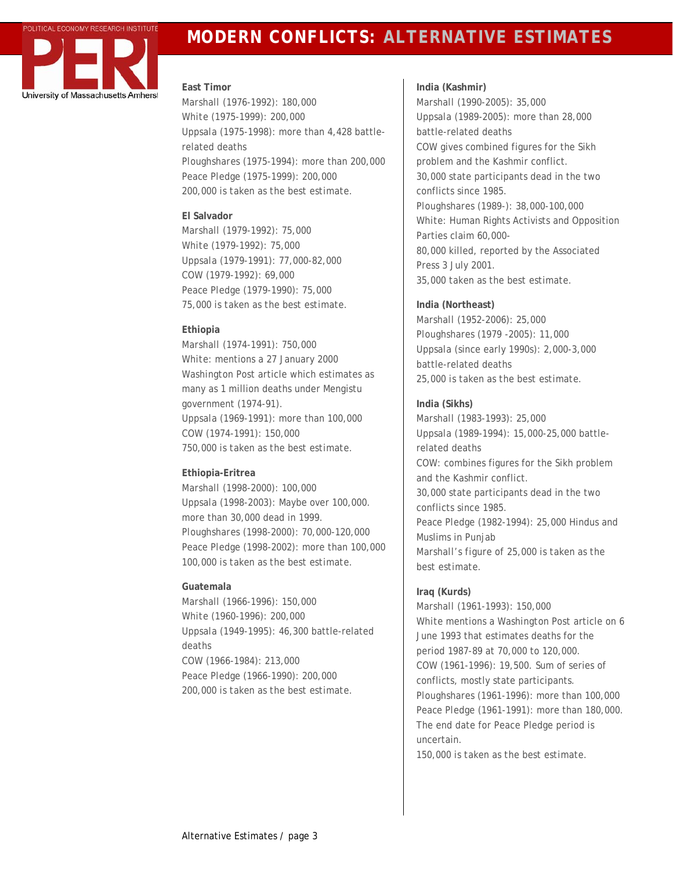

# **MODERN CONFLICTS: ALTERNATIVE ESTIMATES**

### **East Timor**

*Marshall* (1976-1992): 180,000 *White* (1975-1999): 200,000 *Uppsala* (1975-1998): more than 4,428 battlerelated deaths *Ploughshares* (1975-1994): more than 200,000 *Peace Pledge* (1975-1999): 200,000 *200,000 is taken as the best estimate.*

### **El Salvador**

*Marshall* (1979-1992): 75,000 *White* (1979-1992): 75,000 *Uppsala* (1979-1991): 77,000-82,000 *COW* (1979-1992): 69,000 *Peace Pledge* (1979-1990): 75,000 *75,000 is taken as the best estimate.* 

# **Ethiopia**

*Marshall* (1974-1991): 750,000 *White*: mentions a 27 January 2000 *Washington Post* article which estimates as many as 1 million deaths under Mengistu government (1974-91). *Uppsala* (1969-1991): more than 100,000 *COW* (1974-1991): 150,000 *750,000 is taken as the best estimate.* 

# **Ethiopia-Eritrea**

*Marshall* (1998-2000): 100,000 *Uppsala* (1998-2003): Maybe over 100,000. more than 30,000 dead in 1999. *Ploughshares* (1998-2000): 70,000-120,000 *Peace Pledge* (1998-2002): more than 100,000 *100,000 is taken as the best estimate.* 

# **Guatemala**

*Marshall* (1966-1996): 150,000 *White* (1960-1996): 200,000 *Uppsala* (1949-1995): 46,300 battle-related deaths *COW* (1966-1984): 213,000 *Peace Pledge* (1966-1990): 200,000 *200,000 is taken as the best estimate.* 

**India (Kashmir)**  *Marshall* (1990-2005): 35,000 *Uppsala* (1989-2005): more than 28,000 battle-related deaths *COW* gives combined figures for the Sikh problem and the Kashmir conflict. 30,000 state participants dead in the two conflicts since 1985. *Ploughshares* (1989-): 38,000-100,000 *White*: Human Rights Activists and Opposition Parties claim 60,000- 80,000 killed, reported by the Associated Press 3 July 2001. *35,000 taken as the best estimate.* 

# **India (Northeast)**

*Marshall* (1952-2006): 25,000 *Ploughshares* (1979 -2005): 11,000 *Uppsala* (since early 1990s): 2,000-3,000 battle-related deaths *25,000 is taken as the best estimate.*

# **India (Sikhs)**

*Marshall* (1983-1993): 25,000 *Uppsala* (1989-1994): 15,000-25,000 battlerelated deaths *COW:* combines figures for the Sikh problem and the Kashmir conflict. 30,000 state participants dead in the two conflicts since 1985. *Peace Pledge* (1982-1994): 25,000 Hindus and Muslims in Punjab *Marshall's figure of 25,000 is taken as the best estimate.* 

# **Iraq (Kurds)**

*Marshall* (1961-1993): 150,000 *White* mentions a *Washington Post* article on 6 June 1993 that estimates deaths for the period 1987-89 at 70,000 to 120,000. *COW* (1961-1996): 19,500. Sum of series of conflicts, mostly state participants. *Ploughshares* (1961-1996): more than 100,000 *Peace Pledge* (1961-1991): more than 180,000. The end date for Peace Pledge period is uncertain. *150,000 is taken as the best estimate.*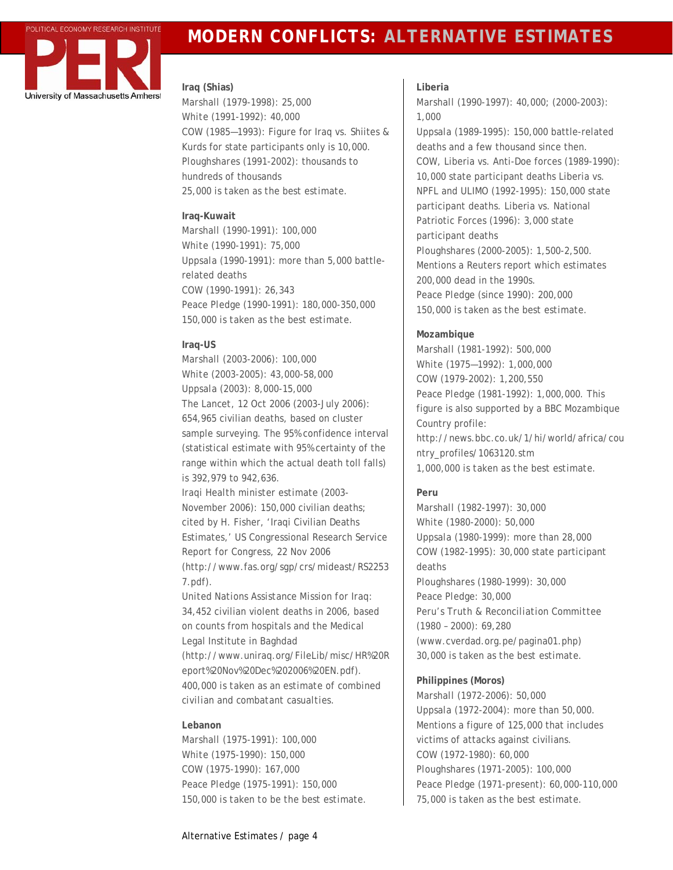

# **POLITICAL ECONOMY RESEARCH INSTITUTE MODERN CONFLICTS: ALTERNATIVE ESTIMATES**

#### **Iraq (Shias)**

*Marshall* (1979-1998): 25,000 *White* (1991-1992): 40,000 *COW* (1985—1993): Figure for Iraq vs. Shiites & Kurds for state participants only is 10,000. *Ploughshares* (1991-2002): thousands to hundreds of thousands *25,000 is taken as the best estimate.* 

### **Iraq-Kuwait**

*Marshall* (1990-1991): 100,000 *White* (1990-1991): 75,000 *Uppsala* (1990-1991): more than 5,000 battlerelated deaths *COW* (1990-1991): 26,343 *Peace Pledge* (1990-1991): 180,000-350,000 *150,000 is taken as the best estimate.* 

# **Iraq-US**

*Marshall* (2003-2006): 100,000 *White* (2003-2005): 43,000-58,000 *Uppsala* (2003): 8,000-15,000 *The Lancet,* 12 Oct 2006 (2003-July 2006): 654,965 civilian deaths, based on cluster sample surveying. The 95% confidence interval (statistical estimate with 95% certainty of the range within which the actual death toll falls) is 392,979 to 942,636.

*Iraqi Health minister estimate* (2003- November 2006): 150,000 civilian deaths; cited by H. Fisher, 'Iraqi Civilian Deaths Estimates,' US Congressional Research Service *Report for Congress,* 22 Nov 2006 ([http://www.fas.org/sgp/crs/mideast/RS2253](http://www.fas.org/sgp/crs/mideast/RS22537.pdf) [7.pdf\)](http://www.fas.org/sgp/crs/mideast/RS22537.pdf).

*United Nations Assistance Mission for Iraq*: 34,452 civilian violent deaths in 2006, based on counts from hospitals and the Medical Legal Institute in Baghdad ([http://www.uniraq.org/FileLib/misc/HR%20R](http://www.uniraq.org/FileLib/misc/HR%20Report%20Nov%20Dec%202006%20EN.pdf) [eport%20Nov%20Dec%202006%20EN.pdf\)](http://www.uniraq.org/FileLib/misc/HR%20Report%20Nov%20Dec%202006%20EN.pdf). *400,000 is taken as an estimate of combined civilian and combatant casualties.* 

# **Lebanon**

*Marshall* (1975-1991): 100,000 *White* (1975-1990): 150,000 *COW* (1975-1990): 167,000 *Peace Pledge* (1975-1991): 150,000 *150,000 is taken to be the best estimate.* 

# **Liberia**

*Marshall* (1990-1997): 40,000; (2000-2003): 1,000

*Uppsala* (1989-1995): 150,000 battle-related deaths and a few thousand since then. *COW,* Liberia vs. Anti-Doe forces (1989-1990): 10,000 state participant deaths Liberia vs. NPFL and ULIMO (1992-1995): 150,000 state participant deaths. Liberia vs. National Patriotic Forces (1996): 3,000 state participant deaths

*Ploughshares* (2000-2005): 1,500-2,500. Mentions a Reuters report which estimates 200,000 dead in the 1990s. *Peace Pledge* (since 1990): 200,000 *150,000 is taken as the best estimate.* 

# **Mozambique**

*Marshall* (1981-1992): 500,000 *White* (1975—1992): 1,000,000 *COW* (1979-2002): 1,200,550 *Peace Pledge* (1981-1992): 1,000,000. This figure is also supported by a BBC Mozambique Country profile: [http://news.bbc.co.uk/1/hi/world/africa/cou](http://news.bbc.co.uk/1/hi/world/africa/country_profiles/1063120.stm) [ntry\\_profiles/1063120.stm](http://news.bbc.co.uk/1/hi/world/africa/country_profiles/1063120.stm) *1,000,000 is taken as the best estimate.* 

# **Peru**

*Marshall* (1982-1997): 30,000 *White* (1980-2000): 50,000 *Uppsala* (1980-1999): more than 28,000 *COW* (1982-1995): 30,000 state participant deaths *Ploughshares* (1980-1999): 30,000 *Peace Pledge:* 30,000 *Peru's Truth & Reconciliation Committee*  (1980 – 2000): 69,280 [\(www.cverdad.org.pe/pagina01.php](http://www.cverdad.org.pe/pagina01.php)) *30,000 is taken as the best estimate.* 

# **Philippines (Moros)**

*Marshall* (1972-2006): 50,000 *Uppsala* (1972-2004): more than 50,000. Mentions a figure of 125,000 that includes victims of attacks against civilians. *COW* (1972-1980): 60,000 *Ploughshares* (1971-2005): 100,000 *Peace Pledge* (1971-present): 60,000-110,000 *75,000 is taken as the best estimate.*